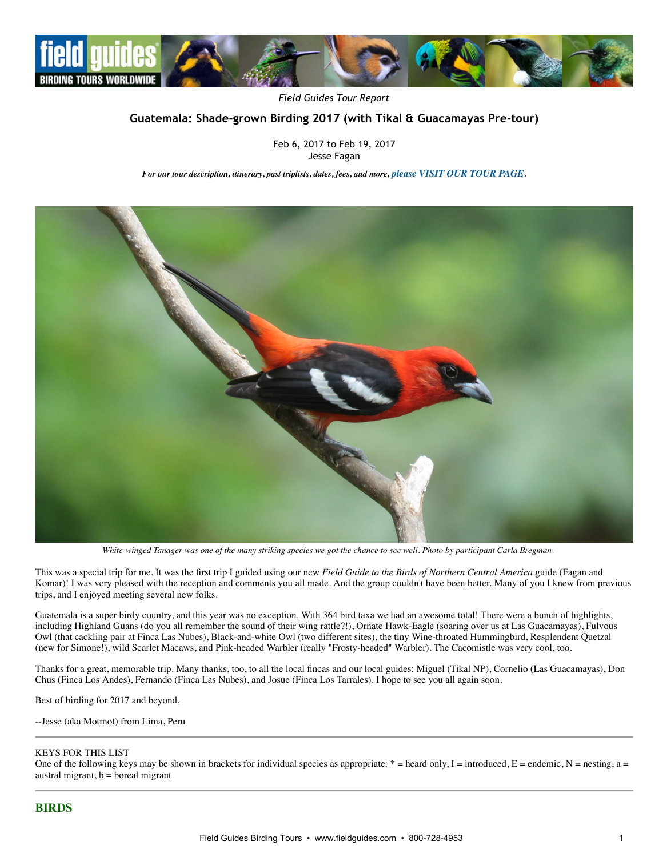

*Field Guides Tour Report*

# **Guatemala: Shade‐grown Birding 2017 (with Tikal & Guacamayas Pre‐tour)**

Feb 6, 2017 to Feb 19, 2017 Jesse Fagan

*For our tour description, itinerary, past triplists, dates, fees, and more, [please VISIT OUR TOUR PAGE](http://www.fieldguides.com/bird-tours/guatemala).*



*White-winged Tanager was one of the many striking species we got the chance to see well. Photo by participant Carla Bregman.*

This was a special trip for me. It was the first trip I guided using our new *Field Guide to the Birds of Northern Central America* guide (Fagan and Komar)! I was very pleased with the reception and comments you all made. And the group couldn't have been better. Many of you I knew from previous trips, and I enjoyed meeting several new folks.

Guatemala is a super birdy country, and this year was no exception. With 364 bird taxa we had an awesome total! There were a bunch of highlights, including Highland Guans (do you all remember the sound of their wing rattle?!), Ornate Hawk-Eagle (soaring over us at Las Guacamayas), Fulvous Owl (that cackling pair at Finca Las Nubes), Black-and-white Owl (two different sites), the tiny Wine-throated Hummingbird, Resplendent Quetzal (new for Simone!), wild Scarlet Macaws, and Pink-headed Warbler (really "Frosty-headed" Warbler). The Cacomistle was very cool, too.

Thanks for a great, memorable trip. Many thanks, too, to all the local fincas and our local guides: Miguel (Tikal NP), Cornelio (Las Guacamayas), Don Chus (Finca Los Andes), Fernando (Finca Las Nubes), and Josue (Finca Los Tarrales). I hope to see you all again soon.

Best of birding for 2017 and beyond,

--Jesse (aka Motmot) from Lima, Peru

#### KEYS FOR THIS LIST

One of the following keys may be shown in brackets for individual species as appropriate: \* = heard only, I = introduced, E = endemic, N = nesting, a = austral migrant,  $b = b$ oreal migrant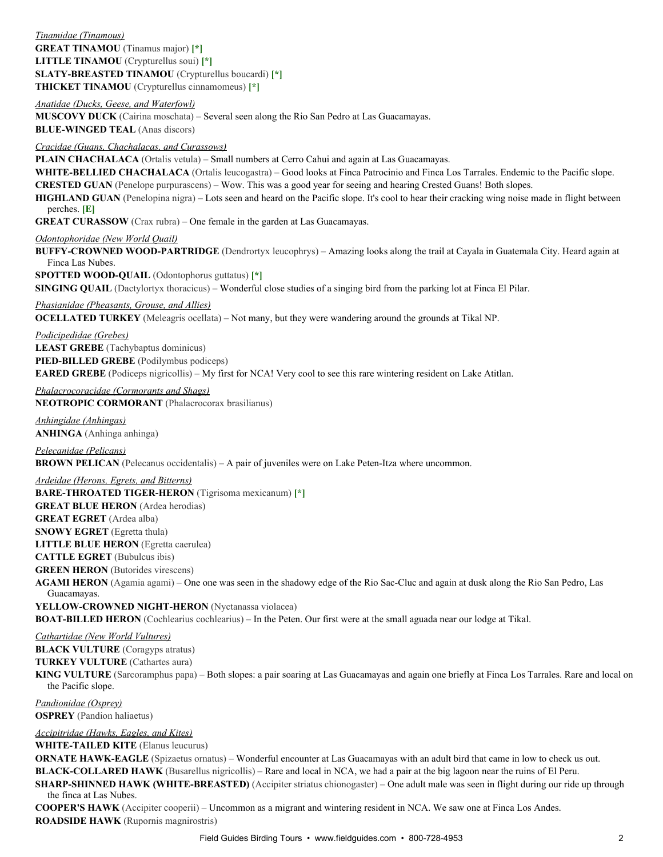## *Tinamidae (Tinamous)* **GREAT TINAMOU** (Tinamus major) **[\*] LITTLE TINAMOU** (Crypturellus soui) **[\*] SLATY-BREASTED TINAMOU** (Crypturellus boucardi) [\*] **THICKET TINAMOU** (Crypturellus cinnamomeus) **[\*]**

# *Anatidae (Ducks, Geese, and Waterfowl)*

**MUSCOVY DUCK** (Cairina moschata) – Several seen along the Rio San Pedro at Las Guacamayas.

**BLUE-WINGED TEAL** (Anas discors)

## *Cracidae (Guans, Chachalacas, and Curassows)*

**PLAIN CHACHALACA** (Ortalis vetula) – Small numbers at Cerro Cahui and again at Las Guacamayas.

WHITE-BELLIED CHACHALACA (Ortalis leucogastra) – Good looks at Finca Patrocinio and Finca Los Tarrales. Endemic to the Pacific slope. **CRESTED GUAN** (Penelope purpurascens) – Wow. This was a good year for seeing and hearing Crested Guans! Both slopes.

**HIGHLAND GUAN** (Penelopina nigra) – Lots seen and heard on the Pacific slope. It's cool to hear their cracking wing noise made in flight between perches. **[E]**

**GREAT CURASSOW** (Crax rubra) – One female in the garden at Las Guacamayas.

#### *Odontophoridae (New World Quail)*

**BUFFY-CROWNED WOOD-PARTRIDGE** (Dendrortyx leucophrys) – Amazing looks along the trail at Cayala in Guatemala City. Heard again at Finca Las Nubes.

**SPOTTED WOOD-OUAIL** (Odontophorus guttatus) [\*]

**SINGING QUAIL** (Dactylortyx thoracicus) – Wonderful close studies of a singing bird from the parking lot at Finca El Pilar.

*Phasianidae (Pheasants, Grouse, and Allies)*

**OCELLATED TURKEY** (Meleagris ocellata) – Not many, but they were wandering around the grounds at Tikal NP.

#### *Podicipedidae (Grebes)*

**LEAST GREBE** (Tachybaptus dominicus) **PIED-BILLED GREBE** (Podilymbus podiceps) **EARED GREBE** (Podiceps nigricollis) – My first for NCA! Very cool to see this rare wintering resident on Lake Atitlan.

*Phalacrocoracidae (Cormorants and Shags)* **NEOTROPIC CORMORANT** (Phalacrocorax brasilianus)

*Anhingidae (Anhingas)* **ANHINGA** (Anhinga anhinga)

*Pelecanidae (Pelicans)* **BROWN PELICAN** (Pelecanus occidentalis) – A pair of juveniles were on Lake Peten-Itza where uncommon.

*Ardeidae (Herons, Egrets, and Bitterns)* **BARE-THROATED TIGER-HERON** (Tigrisoma mexicanum) [\*] **GREAT BLUE HERON** (Ardea herodias) **GREAT EGRET** (Ardea alba) **SNOWY EGRET** (Egretta thula) **LITTLE BLUE HERON** (Egretta caerulea) **CATTLE EGRET** (Bubulcus ibis) **GREEN HERON** (Butorides virescens) AGAMI HERON (Agamia agami) – One one was seen in the shadowy edge of the Rio Sac-Cluc and again at dusk along the Rio San Pedro, Las Guacamayas.

YELLOW-CROWNED NIGHT-HERON (Nyctanassa violacea) **BOAT-BILLED HERON** (Cochlearius cochlearius) – In the Peten. Our first were at the small aguada near our lodge at Tikal.

### *Cathartidae (New World Vultures)*

**BLACK VULTURE** (Coragyps atratus)

**TURKEY VULTURE** (Cathartes aura)

**KING VULTURE** (Sarcoramphus papa) – Both slopes: a pair soaring at Las Guacamayas and again one briefly at Finca Los Tarrales. Rare and local on the Pacific slope.

*Pandionidae (Osprey)* **OSPREY** (Pandion haliaetus)

*Accipitridae (Hawks, Eagles, and Kites)*

**WHITE-TAILED KITE** (Elanus leucurus)

**ORNATE HAWK-EAGLE** (Spizaetus ornatus) – Wonderful encounter at Las Guacamayas with an adult bird that came in low to check us out. **BLACK-COLLARED HAWK** (Busarellus nigricollis) – Rare and local in NCA, we had a pair at the big lagoon near the ruins of El Peru.

**SHARP-SHINNED HAWK (WHITE-BREASTED)** (Accipiter striatus chionogaster) – One adult male was seen in flight during our ride up through the finca at Las Nubes.

**COOPER'S HAWK** (Accipiter cooperii) – Uncommon as a migrant and wintering resident in NCA. We saw one at Finca Los Andes. **ROADSIDE HAWK** (Rupornis magnirostris)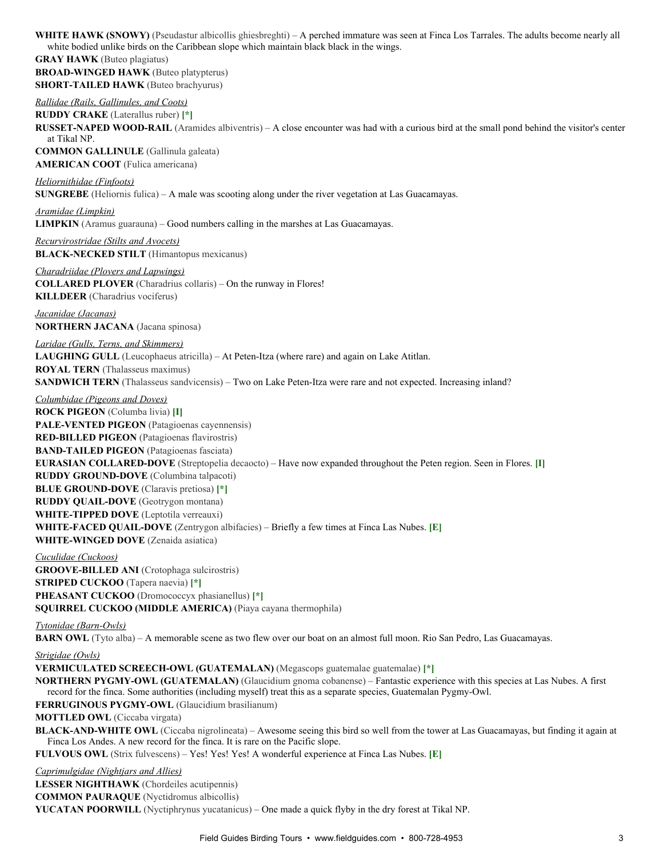WHITE HAWK (SNOWY) (Pseudastur albicollis ghiesbreghti) – A perched immature was seen at Finca Los Tarrales. The adults become nearly all white bodied unlike birds on the Caribbean slope which maintain black black in the wings.

**GRAY HAWK** (Buteo plagiatus) **BROAD-WINGED HAWK** (Buteo platypterus) **SHORT-TAILED HAWK** (Buteo brachyurus)

*Rallidae (Rails, Gallinules, and Coots)* **RUDDY CRAKE** (Laterallus ruber) **[\*] RUSSET-NAPED WOOD-RAIL** (Aramides albiventris) – A close encounter was had with a curious bird at the small pond behind the visitor's center at Tikal NP. **COMMON GALLINULE** (Gallinula galeata)

**AMERICAN COOT** (Fulica americana)

### *Heliornithidae (Finfoots)*

**SUNGREBE** (Heliornis fulica) – A male was scooting along under the river vegetation at Las Guacamayas.

*Aramidae (Limpkin)* **LIMPKIN** (Aramus guarauna) – Good numbers calling in the marshes at Las Guacamayas.

*Recurvirostridae (Stilts and Avocets)* **BLACK-NECKED STILT** (Himantopus mexicanus)

*Charadriidae (Plovers and Lapwings)* **COLLARED PLOVER** (Charadrius collaris) – On the runway in Flores! **KILLDEER** (Charadrius vociferus)

*Jacanidae (Jacanas)* **NORTHERN JACANA** (Jacana spinosa)

*Laridae (Gulls, Terns, and Skimmers)* LAUGHING GULL (Leucophaeus atricilla) – At Peten-Itza (where rare) and again on Lake Atitlan. **ROYAL TERN** (Thalasseus maximus) **SANDWICH TERN** (Thalasseus sandvicensis) – Two on Lake Peten-Itza were rare and not expected. Increasing inland?

*Columbidae (Pigeons and Doves)* **ROCK PIGEON** (Columba livia) **[I] PALE-VENTED PIGEON** (Patagioenas cayennensis) **RED-BILLED PIGEON** (Patagioenas flavirostris) **BAND-TAILED PIGEON** (Patagioenas fasciata) **EURASIAN COLLARED-DOVE** (Streptopelia decaocto) – Have now expanded throughout the Peten region. Seen in Flores. [I] **RUDDY GROUND-DOVE** (Columbina talpacoti) **BLUE GROUND-DOVE** (Claravis pretiosa) [\*] **RUDDY QUAIL-DOVE** (Geotrygon montana) **WHITE-TIPPED DOVE** (Leptotila verreauxi) **WHITE-FACED QUAIL-DOVE** (Zentrygon albifacies) – Briefly a few times at Finca Las Nubes. [E] **WHITE-WINGED DOVE** (Zenaida asiatica)

*Cuculidae (Cuckoos)* **GROOVE-BILLED ANI** (Crotophaga sulcirostris) **STRIPED CUCKOO** (Tapera naevia) **[\*] PHEASANT CUCKOO** (Dromococcyx phasianellus) **[\*] SQUIRREL CUCKOO (MIDDLE AMERICA)** (Piaya cayana thermophila)

*Tytonidae (Barn-Owls)* 

**BARN OWL** (Tyto alba) – A memorable scene as two flew over our boat on an almost full moon. Rio San Pedro, Las Guacamayas.

#### *Strigidae (Owls)*

**VERMICULATED SCREECHOWL (GUATEMALAN)** (Megascops guatemalae guatemalae) **[\*]**

**NORTHERN PYGMY-OWL (GUATEMALAN)** (Glaucidium gnoma cobanense) – Fantastic experience with this species at Las Nubes. A first record for the finca. Some authorities (including myself) treat this as a separate species, Guatemalan Pygmy-Owl.

**FERRUGINOUS PYGMY-OWL** (Glaucidium brasilianum)

**MOTTLED OWL** (Ciccaba virgata)

**BLACK-AND-WHITE OWL** (Ciccaba nigrolineata) – Awesome seeing this bird so well from the tower at Las Guacamayas, but finding it again at Finca Los Andes. A new record for the finca. It is rare on the Pacific slope.

**FULVOUS OWL** (Strix fulvescens) – Yes! Yes! Yes! A wonderful experience at Finca Las Nubes. **[E]**

*Caprimulgidae (Nightjars and Allies)*

**LESSER NIGHTHAWK** (Chordeiles acutipennis)

**COMMON PAURAQUE** (Nyctidromus albicollis)

**YUCATAN POORWILL** (Nyctiphrynus yucatanicus) – One made a quick flyby in the dry forest at Tikal NP.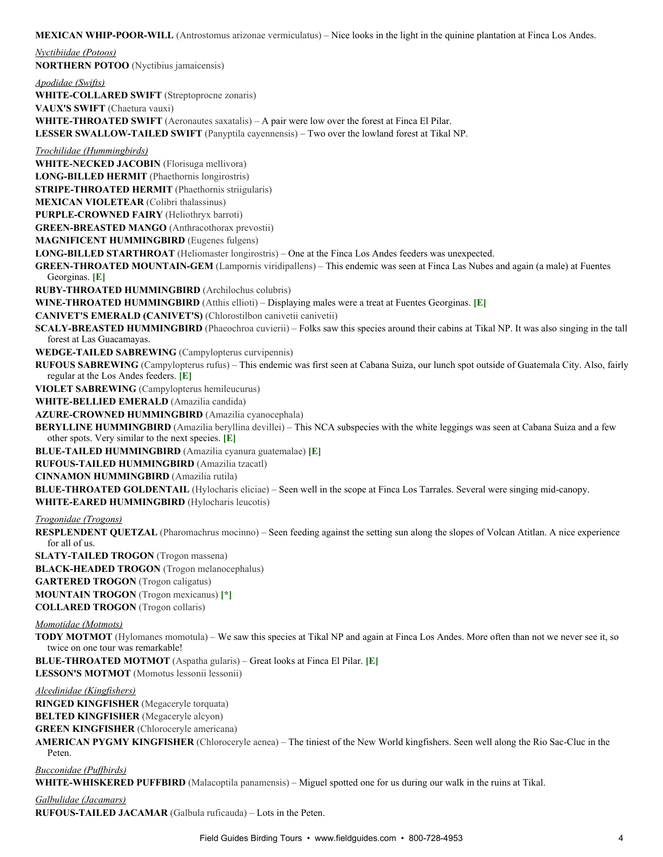**MEXICAN WHIP-POOR-WILL** (Antrostomus arizonae vermiculatus) – Nice looks in the light in the quinine plantation at Finca Los Andes.

*Nyctibiidae (Potoos)* **NORTHERN POTOO** (Nyctibius jamaicensis) *Apodidae (Swifts)* **WHITE-COLLARED SWIFT** (Streptoprocne zonaris) **VAUX'S SWIFT** (Chaetura vauxi) **WHITE-THROATED SWIFT** (Aeronautes saxatalis) – A pair were low over the forest at Finca El Pilar. **LESSER SWALLOWTAILED SWIFT** (Panyptila cayennensis) – Two over the lowland forest at Tikal NP. *Trochilidae (Hummingbirds)* **WHITE-NECKED JACOBIN** (Florisuga mellivora) **LONG-BILLED HERMIT** (Phaethornis longirostris) **STRIPE-THROATED HERMIT** (Phaethornis striigularis) **MEXICAN VIOLETEAR** (Colibri thalassinus) PURPLE-CROWNED FAIRY (Heliothryx barroti) **GREEN-BREASTED MANGO** (Anthracothorax prevostii) **MAGNIFICENT HUMMINGBIRD** (Eugenes fulgens) LONG-BILLED STARTHROAT (Heliomaster longirostris) – One at the Finca Los Andes feeders was unexpected. **GREEN-THROATED MOUNTAIN-GEM** (Lampornis viridipallens) – This endemic was seen at Finca Las Nubes and again (a male) at Fuentes Georginas. **[E] RUBYTHROATED HUMMINGBIRD** (Archilochus colubris) **WINETHROATED HUMMINGBIRD** (Atthis ellioti) – Displaying males were a treat at Fuentes Georginas. **[E] CANIVET'S EMERALD (CANIVET'S)** (Chlorostilbon canivetii canivetii) **SCALY-BREASTED HUMMINGBIRD** (Phaeochroa cuvierii) – Folks saw this species around their cabins at Tikal NP. It was also singing in the tall forest at Las Guacamayas. **WEDGETAILED SABREWING** (Campylopterus curvipennis) **RUFOUS SABREWING** (Campylopterus rufus) – This endemic was first seen at Cabana Suiza, our lunch spot outside of Guatemala City. Also, fairly regular at the Los Andes feeders. **[E] VIOLET SABREWING** (Campylopterus hemileucurus) **WHITE-BELLIED EMERALD** (Amazilia candida) **AZURE-CROWNED HUMMINGBIRD** (Amazilia cyanocephala) **BERYLLINE HUMMINGBIRD** (Amazilia beryllina devillei) – This NCA subspecies with the white leggings was seen at Cabana Suiza and a few other spots. Very similar to the next species. **[E] BLUETAILED HUMMINGBIRD** (Amazilia cyanura guatemalae) **[E] RUFOUSTAILED HUMMINGBIRD** (Amazilia tzacatl) **CINNAMON HUMMINGBIRD** (Amazilia rutila) **BLUE-THROATED GOLDENTAIL** (Hylocharis eliciae) – Seen well in the scope at Finca Los Tarrales. Several were singing mid-canopy. **WHITE-EARED HUMMINGBIRD** (Hylocharis leucotis) *Trogonidae (Trogons)* **RESPLENDENT QUETZAL** (Pharomachrus mocinno) – Seen feeding against the setting sun along the slopes of Volcan Atitlan. A nice experience for all of us. **SLATY-TAILED TROGON** (Trogon massena) **BLACK-HEADED TROGON** (Trogon melanocephalus) **GARTERED TROGON** (Trogon caligatus) **MOUNTAIN TROGON** (Trogon mexicanus) **[\*]**

**COLLARED TROGON** (Trogon collaris)

#### *Momotidae (Motmots)*

**TODY MOTMOT** (Hylomanes momotula) – We saw this species at Tikal NP and again at Finca Los Andes. More often than not we never see it, so twice on one tour was remarkable!

**BLUETHROATED MOTMOT** (Aspatha gularis) – Great looks at Finca El Pilar. **[E]**

**LESSON'S MOTMOT** (Momotus lessonii lessonii)

#### *Alcedinidae (Kingfishers)*

**RINGED KINGFISHER** (Megaceryle torquata)

**BELTED KINGFISHER** (Megaceryle alcyon)

**GREEN KINGFISHER** (Chloroceryle americana)

**AMERICAN PYGMY KINGFISHER** (Chloroceryle aenea) – The tiniest of the New World kingfishers. Seen well along the Rio Sac-Cluc in the Peten.

#### *Bucconidae (Puffbirds)*

**WHITE-WHISKERED PUFFBIRD** (Malacoptila panamensis) – Miguel spotted one for us during our walk in the ruins at Tikal.

#### *Galbulidae (Jacamars)*

**RUFOUSTAILED JACAMAR** (Galbula ruficauda) – Lots in the Peten.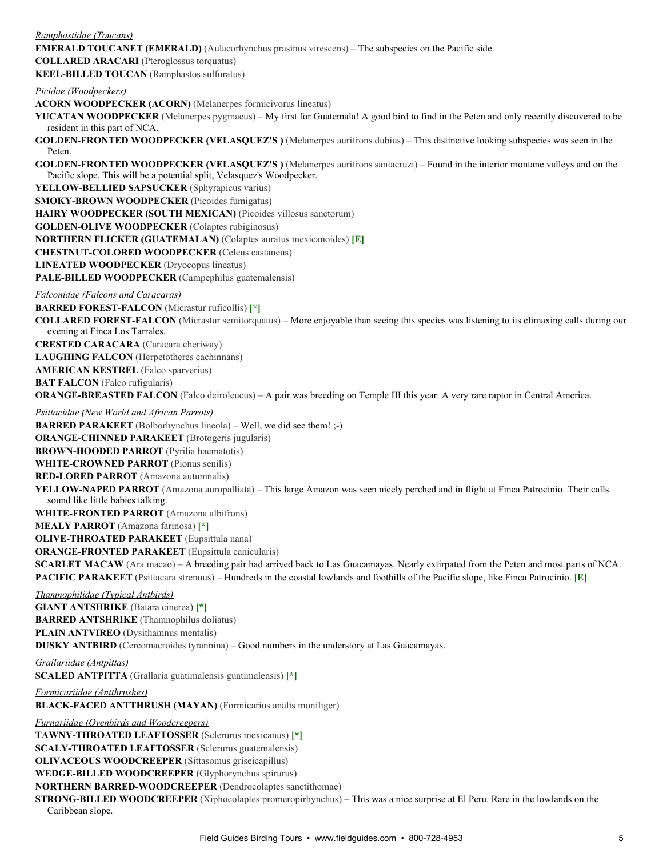*Ramphastidae (Toucans)* **EMERALD TOUCANET (EMERALD)** (Aulacorhynchus prasinus virescens) – The subspecies on the Pacific side. **COLLARED ARACARI** (Pteroglossus torquatus) **KEEL-BILLED TOUCAN** (Ramphastos sulfuratus) *Picidae (Woodpeckers)* **ACORN WOODPECKER (ACORN)** (Melanerpes formicivorus lineatus) **YUCATAN WOODPECKER** (Melanerpes pygmaeus) – My first for Guatemala! A good bird to find in the Peten and only recently discovered to be resident in this part of NCA. **GOLDEN-FRONTED WOODPECKER (VELASQUEZ'S)** (Melanerpes aurifrons dubius) – This distinctive looking subspecies was seen in the Peten. **GOLDEN-FRONTED WOODPECKER (VELASQUEZ'S)** (Melanerpes aurifrons santacruzi) – Found in the interior montane valleys and on the Pacific slope. This will be a potential split, Velasquez's Woodpecker. YELLOW-BELLIED SAPSUCKER (Sphyrapicus varius) **SMOKY-BROWN WOODPECKER** (Picoides fumigatus) **HAIRY WOODPECKER (SOUTH MEXICAN)** (Picoides villosus sanctorum) **GOLDEN-OLIVE WOODPECKER** (Colaptes rubiginosus) **NORTHERN FLICKER (GUATEMALAN)** (Colaptes auratus mexicanoides) **[E] CHESTNUT-COLORED WOODPECKER** (Celeus castaneus) **LINEATED WOODPECKER** (Dryocopus lineatus) PALE-BILLED WOODPECKER (Campephilus guatemalensis) *Falconidae (Falcons and Caracaras)* **BARRED FOREST-FALCON** (Micrastur ruficollis) [\*] **COLLARED FOREST-FALCON** (Micrastur semitorquatus) – More enjoyable than seeing this species was listening to its climaxing calls during our evening at Finca Los Tarrales. **CRESTED CARACARA** (Caracara cheriway) **LAUGHING FALCON** (Herpetotheres cachinnans) **AMERICAN KESTREL** (Falco sparverius) **BAT FALCON** (Falco rufigularis) **ORANGE-BREASTED FALCON** (Falco deiroleucus) – A pair was breeding on Temple III this year. A very rare raptor in Central America. *Psittacidae (New World and African Parrots)* **BARRED PARAKEET** (Bolborhynchus lineola) – Well, we did see them! ;-) **ORANGE-CHINNED PARAKEET** (Brotogeris jugularis) **BROWN-HOODED PARROT** (Pyrilia haematotis) **WHITE-CROWNED PARROT** (Pionus senilis) **REDLORED PARROT** (Amazona autumnalis) **YELLOW-NAPED PARROT** (Amazona auropalliata) – This large Amazon was seen nicely perched and in flight at Finca Patrocinio. Their calls sound like little babies talking. **WHITE-FRONTED PARROT** (Amazona albifrons) **MEALY PARROT** (Amazona farinosa) **[\*] OLIVE-THROATED PARAKEET** (Eupsittula nana) **ORANGE-FRONTED PARAKEET** (Eupsittula canicularis) **SCARLET MACAW** (Ara macao) – A breeding pair had arrived back to Las Guacamayas. Nearly extirpated from the Peten and most parts of NCA. **PACIFIC PARAKEET** (Psittacara strenuus) – Hundreds in the coastal lowlands and foothills of the Pacific slope, like Finca Patrocinio. **[E]** *Thamnophilidae (Typical Antbirds)* **GIANT ANTSHRIKE** (Batara cinerea) **[\*] BARRED ANTSHRIKE** (Thamnophilus doliatus) **PLAIN ANTVIREO** (Dysithamnus mentalis) **DUSKY ANTBIRD** (Cercomacroides tyrannina) – Good numbers in the understory at Las Guacamayas. *Grallariidae (Antpittas)* **SCALED ANTPITTA** (Grallaria guatimalensis guatimalensis) **[\*]** *Formicariidae (Antthrushes)* **BLACK-FACED ANTTHRUSH (MAYAN)** (Formicarius analis moniliger) *Furnariidae (Ovenbirds and Woodcreepers)* **TAWNYTHROATED LEAFTOSSER** (Sclerurus mexicanus) **[\*] SCALY-THROATED LEAFTOSSER** (Sclerurus guatemalensis) **OLIVACEOUS WOODCREEPER** (Sittasomus griseicapillus)

**WEDGE-BILLED WOODCREEPER** (Glyphorynchus spirurus) **NORTHERN BARRED-WOODCREEPER** (Dendrocolaptes sanctithomae)

**STRONG-BILLED WOODCREEPER** (Xiphocolaptes promeropirhynchus) – This was a nice surprise at El Peru. Rare in the lowlands on the Caribbean slope.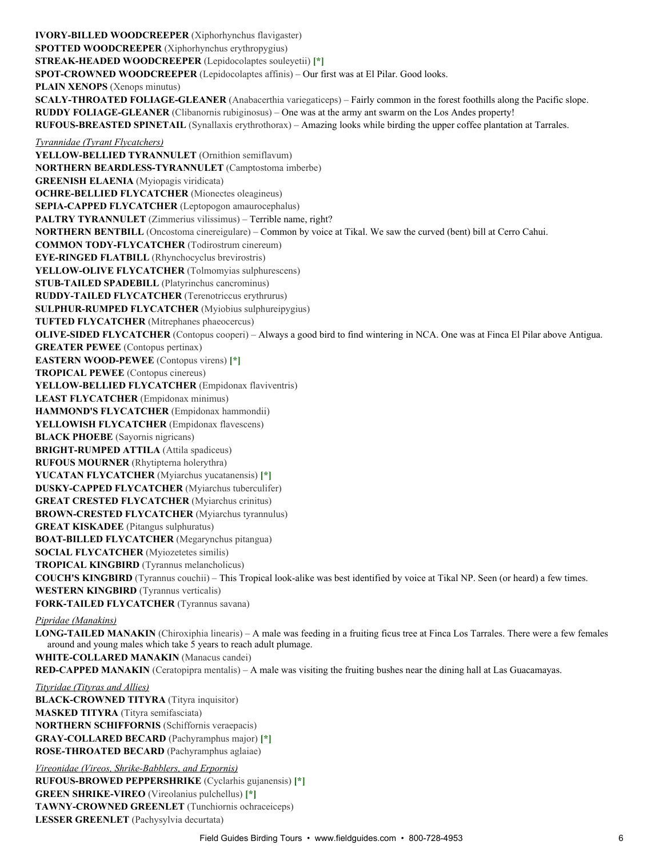**IVORY-BILLED WOODCREEPER** (Xiphorhynchus flavigaster) **SPOTTED WOODCREEPER** (Xiphorhynchus erythropygius) **STREAK-HEADED WOODCREEPER** (Lepidocolaptes souleyetii) [\*] **SPOT-CROWNED WOODCREEPER** (Lepidocolaptes affinis) – Our first was at El Pilar. Good looks. **PLAIN XENOPS** (Xenops minutus) **SCALY-THROATED FOLIAGE-GLEANER** (Anabacerthia variegaticeps) – Fairly common in the forest foothills along the Pacific slope. **RUDDY FOLIAGEGLEANER** (Clibanornis rubiginosus) – One was at the army ant swarm on the Los Andes property! **RUFOUS-BREASTED SPINETAIL** (Synallaxis erythrothorax) – Amazing looks while birding the upper coffee plantation at Tarrales. *Tyrannidae (Tyrant Flycatchers)* YELLOW-BELLIED TYRANNULET (Ornithion semiflavum) **NORTHERN BEARDLESSTYRANNULET** (Camptostoma imberbe) **GREENISH ELAENIA** (Myiopagis viridicata) **OCHRE-BELLIED FLYCATCHER** (Mionectes oleagineus) SEPIA-CAPPED FLYCATCHER (Leptopogon amaurocephalus) **PALTRY TYRANNULET** (Zimmerius vilissimus) – Terrible name, right? **NORTHERN BENTBILL** (Oncostoma cinereigulare) – Common by voice at Tikal. We saw the curved (bent) bill at Cerro Cahui. **COMMON TODY-FLYCATCHER** (Todirostrum cinereum) **EYE-RINGED FLATBILL** (Rhynchocyclus brevirostris) **YELLOW-OLIVE FLYCATCHER** (Tolmomyias sulphurescens) **STUB-TAILED SPADEBILL** (Platyrinchus cancrominus) **RUDDYTAILED FLYCATCHER** (Terenotriccus erythrurus) **SULPHUR-RUMPED FLYCATCHER** (Myiobius sulphureipygius) **TUFTED FLYCATCHER** (Mitrephanes phaeocercus) **OLIVE-SIDED FLYCATCHER** (Contopus cooperi) – Always a good bird to find wintering in NCA. One was at Finca El Pilar above Antigua. **GREATER PEWEE** (Contopus pertinax) **EASTERN WOOD-PEWEE** (Contopus virens) [\*] **TROPICAL PEWEE** (Contopus cinereus) YELLOW-BELLIED FLYCATCHER (Empidonax flaviventris) **LEAST FLYCATCHER** (Empidonax minimus) **HAMMOND'S FLYCATCHER** (Empidonax hammondii) **YELLOWISH FLYCATCHER** (Empidonax flavescens) **BLACK PHOEBE** (Sayornis nigricans) **BRIGHT-RUMPED ATTILA** (Attila spadiceus) **RUFOUS MOURNER** (Rhytipterna holerythra) **YUCATAN FLYCATCHER** (Myiarchus yucatanensis) **[\*] DUSKY-CAPPED FLYCATCHER** (Myiarchus tuberculifer) **GREAT CRESTED FLYCATCHER** (Myiarchus crinitus) **BROWN-CRESTED FLYCATCHER** (Myiarchus tyrannulus) **GREAT KISKADEE** (Pitangus sulphuratus) **BOAT-BILLED FLYCATCHER** (Megarynchus pitangua) **SOCIAL FLYCATCHER** (Myiozetetes similis) **TROPICAL KINGBIRD** (Tyrannus melancholicus) **COUCH'S KINGBIRD** (Tyrannus couchii) – This Tropical lookalike was best identified by voice at Tikal NP. Seen (or heard) a few times. **WESTERN KINGBIRD** (Tyrannus verticalis) FORK-TAILED FLYCATCHER (Tyrannus savana) *Pipridae (Manakins)* LONG-TAILED MANAKIN (Chiroxiphia linearis) – A male was feeding in a fruiting ficus tree at Finca Los Tarrales. There were a few females around and young males which take 5 years to reach adult plumage. **WHITE-COLLARED MANAKIN** (Manacus candei) **RED-CAPPED MANAKIN** (Ceratopipra mentalis) – A male was visiting the fruiting bushes near the dining hall at Las Guacamayas. *Tityridae (Tityras and Allies)* **BLACK-CROWNED TITYRA** (Tityra inquisitor) **MASKED TITYRA** (Tityra semifasciata) **NORTHERN SCHIFFORNIS** (Schiffornis veraepacis) **GRAYCOLLARED BECARD** (Pachyramphus major) **[\*] ROSETHROATED BECARD** (Pachyramphus aglaiae) *Vireonidae (Vireos, Shrike-Babblers, and Erpornis)* **RUFOUS-BROWED PEPPERSHRIKE** (Cyclarhis gujanensis) [\*] **GREEN SHRIKE-VIREO** (Vireolanius pulchellus) [\*]

TAWNY-CROWNED GREENLET (Tunchiornis ochraceiceps)

**LESSER GREENLET** (Pachysylvia decurtata)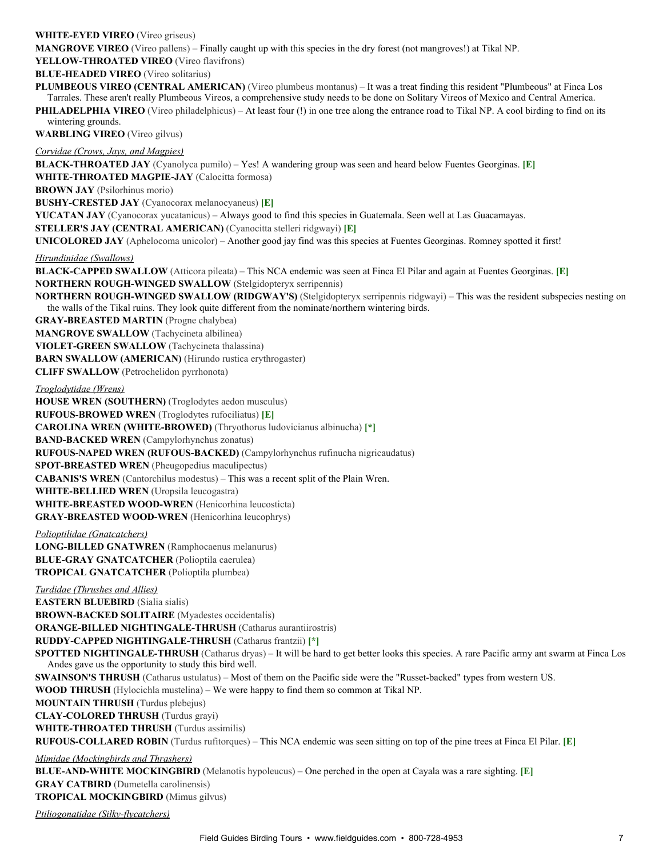## **WHITE-EYED VIREO** (Vireo griseus)

**MANGROVE VIREO** (Vireo pallens) – Finally caught up with this species in the dry forest (not mangroves!) at Tikal NP.

YELLOW-THROATED VIREO (Vireo flavifrons)

**BLUE-HEADED VIREO** (Vireo solitarius)

**PLUMBEOUS VIREO (CENTRAL AMERICAN)** (Vireo plumbeus montanus) – It was a treat finding this resident "Plumbeous" at Finca Los Tarrales. These aren't really Plumbeous Vireos, a comprehensive study needs to be done on Solitary Vireos of Mexico and Central America.

**PHILADELPHIA VIREO** (Vireo philadelphicus) – At least four (!) in one tree along the entrance road to Tikal NP. A cool birding to find on its wintering grounds.

**WARBLING VIREO** (Vireo gilvus)

*Corvidae (Crows, Jays, and Magpies)*

**BLACKTHROATED JAY** (Cyanolyca pumilo) – Yes! A wandering group was seen and heard below Fuentes Georginas. **[E] WHITE-THROATED MAGPIE-JAY** (Calocitta formosa) **BROWN JAY** (Psilorhinus morio)

**BUSHY-CRESTED JAY** (Cyanocorax melanocyaneus) **[E]** 

**YUCATAN JAY** (Cyanocorax yucatanicus) – Always good to find this species in Guatemala. Seen well at Las Guacamayas.

**STELLER'S JAY (CENTRAL AMERICAN)** (Cyanocitta stelleri ridgwayi) **[E]**

**UNICOLORED JAY** (Aphelocoma unicolor) – Another good jay find was this species at Fuentes Georginas. Romney spotted it first!

*Hirundinidae (Swallows)*

**BLACK-CAPPED SWALLOW** (Atticora pileata) – This NCA endemic was seen at Finca El Pilar and again at Fuentes Georginas. **[E] NORTHERN ROUGH-WINGED SWALLOW** (Stelgidopteryx serripennis)

**NORTHERN ROUGH-WINGED SWALLOW (RIDGWAY'S)** (Stelgidopteryx serripennis ridgwayi) – This was the resident subspecies nesting on the walls of the Tikal ruins. They look quite different from the nominate/northern wintering birds.

**GRAYBREASTED MARTIN** (Progne chalybea)

**MANGROVE SWALLOW** (Tachycineta albilinea)

**VIOLET-GREEN SWALLOW** (Tachycineta thalassina)

**BARN SWALLOW (AMERICAN)** (Hirundo rustica erythrogaster)

**CLIFF SWALLOW** (Petrochelidon pyrrhonota)

*Troglodytidae (Wrens)*

**HOUSE WREN (SOUTHERN)** (Troglodytes aedon musculus) **RUFOUSBROWED WREN** (Troglodytes rufociliatus) **[E] CAROLINA WREN (WHITE-BROWED)** (Thryothorus ludovicianus albinucha) [\*] **BAND-BACKED WREN** (Campylorhynchus zonatus) **RUFOUSNAPED WREN (RUFOUSBACKED)** (Campylorhynchus rufinucha nigricaudatus) **SPOT-BREASTED WREN** (Pheugopedius maculipectus) **CABANIS'S WREN** (Cantorchilus modestus) – This was a recent split of the Plain Wren. **WHITE-BELLIED WREN** (Uropsila leucogastra) **WHITE-BREASTED WOOD-WREN** (Henicorhina leucosticta) **GRAY-BREASTED WOOD-WREN** (Henicorhina leucophrys)

*Polioptilidae (Gnatcatchers)*

**LONG-BILLED GNATWREN** (Ramphocaenus melanurus)

**BLUE-GRAY GNATCATCHER** (Polioptila caerulea)

**TROPICAL GNATCATCHER** (Polioptila plumbea)

*Turdidae (Thrushes and Allies)* **EASTERN BLUEBIRD** (Sialia sialis) **BROWN-BACKED SOLITAIRE** (Myadestes occidentalis) **ORANGE-BILLED NIGHTINGALE-THRUSH** (Catharus aurantiirostris) **RUDDY-CAPPED NIGHTINGALE-THRUSH (Catharus frantzii) [\*] SPOTTED NIGHTINGALE-THRUSH** (Catharus dryas) – It will be hard to get better looks this species. A rare Pacific army ant swarm at Finca Los Andes gave us the opportunity to study this bird well. **SWAINSON'S THRUSH** (Catharus ustulatus) – Most of them on the Pacific side were the "Russet-backed" types from western US. **WOOD THRUSH** (Hylocichla mustelina) – We were happy to find them so common at Tikal NP. **MOUNTAIN THRUSH** (Turdus plebejus) **CLAY-COLORED THRUSH** (Turdus grayi) **WHITE-THROATED THRUSH** (Turdus assimilis) RUFOUS-COLLARED ROBIN (Turdus rufitorques) – This NCA endemic was seen sitting on top of the pine trees at Finca El Pilar. [E] *Mimidae (Mockingbirds and Thrashers)* **BLUE-AND-WHITE MOCKINGBIRD** (Melanotis hypoleucus) – One perched in the open at Cayala was a rare sighting. [E] **GRAY CATBIRD** (Dumetella carolinensis)

**TROPICAL MOCKINGBIRD** (Mimus gilvus)

*Ptiliogonatidae (Silkyflycatchers)*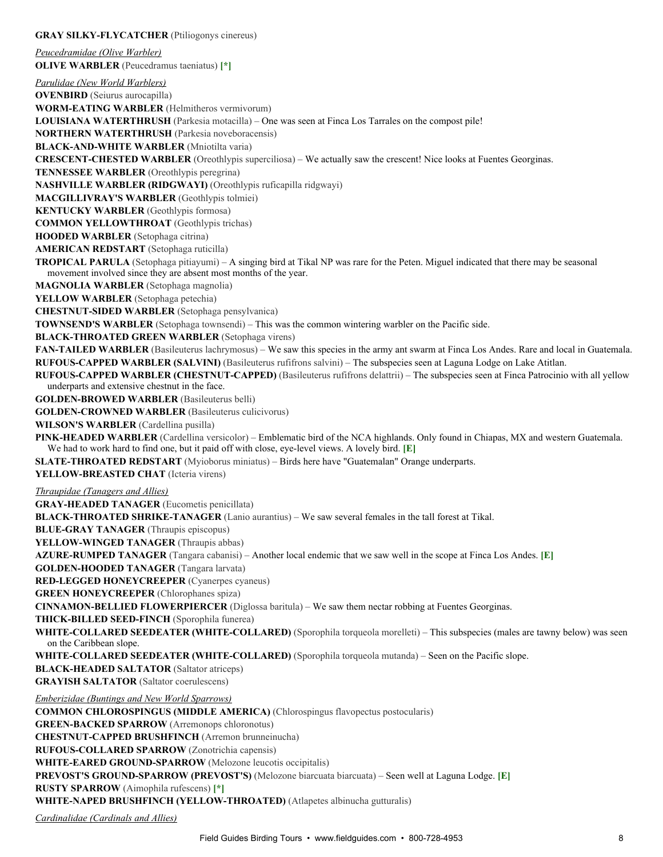### **GRAY SILKY-FLYCATCHER** (Ptiliogonys cinereus)

*Peucedramidae (Olive Warbler)* **OLIVE WARBLER** (Peucedramus taeniatus) **[\*]**

*Parulidae (New World Warblers)* **OVENBIRD** (Seiurus aurocapilla) **WORMEATING WARBLER** (Helmitheros vermivorum) **LOUISIANA WATERTHRUSH** (Parkesia motacilla) – One was seen at Finca Los Tarrales on the compost pile! **NORTHERN WATERTHRUSH** (Parkesia noveboracensis) **BLACK-AND-WHITE WARBLER** (Mniotilta varia) **CRESCENT-CHESTED WARBLER** (Oreothlypis superciliosa) – We actually saw the crescent! Nice looks at Fuentes Georginas. **TENNESSEE WARBLER** (Oreothlypis peregrina) **NASHVILLE WARBLER (RIDGWAYI)** (Oreothlypis ruficapilla ridgwayi) **MACGILLIVRAY'S WARBLER** (Geothlypis tolmiei) **KENTUCKY WARBLER** (Geothlypis formosa) **COMMON YELLOWTHROAT** (Geothlypis trichas) **HOODED WARBLER** (Setophaga citrina) **AMERICAN REDSTART** (Setophaga ruticilla) **TROPICAL PARULA** (Setophaga pitiayumi) – A singing bird at Tikal NP was rare for the Peten. Miguel indicated that there may be seasonal movement involved since they are absent most months of the year. **MAGNOLIA WARBLER** (Setophaga magnolia) **YELLOW WARBLER** (Setophaga petechia) **CHESTNUT-SIDED WARBLER** (Setophaga pensylvanica) **TOWNSEND'S WARBLER** (Setophaga townsendi) – This was the common wintering warbler on the Pacific side. **BLACK-THROATED GREEN WARBLER** (Setophaga virens) **FANTAILED WARBLER** (Basileuterus lachrymosus) – We saw this species in the army ant swarm at Finca Los Andes. Rare and local in Guatemala. **RUFOUS-CAPPED WARBLER (SALVINI)** (Basileuterus rufifrons salvini) – The subspecies seen at Laguna Lodge on Lake Atitlan. RUFOUS-CAPPED WARBLER (CHESTNUT-CAPPED) (Basileuterus rufifrons delattrii) – The subspecies seen at Finca Patrocinio with all yellow underparts and extensive chestnut in the face. **GOLDEN-BROWED WARBLER** (Basileuterus belli) **GOLDEN-CROWNED WARBLER** (Basileuterus culicivorus) **WILSON'S WARBLER** (Cardellina pusilla) **PINK-HEADED WARBLER** (Cardellina versicolor) – Emblematic bird of the NCA highlands. Only found in Chiapas, MX and western Guatemala. We had to work hard to find one, but it paid off with close, eye-level views. A lovely bird. **[E] SLATE-THROATED REDSTART** (Myioborus miniatus) – Birds here have "Guatemalan" Orange underparts. YELLOW-BREASTED CHAT (Icteria virens) *Thraupidae (Tanagers and Allies)* **GRAY-HEADED TANAGER** (Eucometis penicillata) **BLACK-THROATED SHRIKE-TANAGER** (Lanio aurantius) – We saw several females in the tall forest at Tikal. **BLUEGRAY TANAGER** (Thraupis episcopus) YELLOW-WINGED TANAGER (Thraupis abbas) **AZURE-RUMPED TANAGER** (Tangara cabanisi) – Another local endemic that we saw well in the scope at Finca Los Andes. [E] **GOLDEN-HOODED TANAGER** (Tangara larvata) **REDLEGGED HONEYCREEPER** (Cyanerpes cyaneus) **GREEN HONEYCREEPER** (Chlorophanes spiza) **CINNAMON-BELLIED FLOWERPIERCER** (Diglossa baritula) – We saw them nectar robbing at Fuentes Georginas. **THICK-BILLED SEED-FINCH** (Sporophila funerea) **WHITE-COLLARED SEEDEATER (WHITE-COLLARED)** (Sporophila torqueola morelleti) – This subspecies (males are tawny below) was seen on the Caribbean slope. **WHITE-COLLARED SEEDEATER (WHITE-COLLARED)** (Sporophila torqueola mutanda) – Seen on the Pacific slope. **BLACK-HEADED SALTATOR** (Saltator atriceps) **GRAYISH SALTATOR** (Saltator coerulescens) *Emberizidae (Buntings and New World Sparrows)* **COMMON CHLOROSPINGUS (MIDDLE AMERICA)** (Chlorospingus flavopectus postocularis) **GREEN-BACKED SPARROW** (Arremonops chloronotus) **CHESTNUT-CAPPED BRUSHFINCH** (Arremon brunneinucha) **RUFOUS-COLLARED SPARROW** (Zonotrichia capensis) **WHITE-EARED GROUND-SPARROW** (Melozone leucotis occipitalis) **PREVOST'S GROUND-SPARROW (PREVOST'S)** (Melozone biarcuata biarcuata) – Seen well at Laguna Lodge. [E] **RUSTY SPARROW** (Aimophila rufescens) **[\*]** WHITE-NAPED BRUSHFINCH (YELLOW-THROATED) (Atlapetes albinucha gutturalis) *Cardinalidae (Cardinals and Allies)*